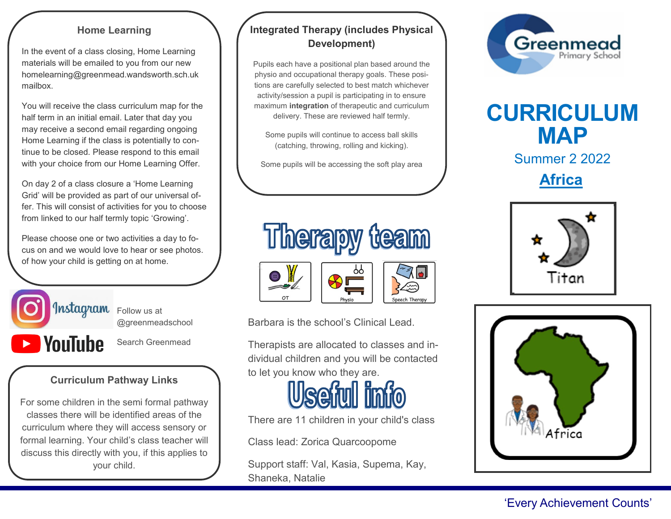#### **Home Learning**

In the event of a class closing, Home Learning materials will be emailed to you from our new homelearning@greenmead.wandsworth.sch.uk mailbox.

You will receive the class curriculum map for the half term in an initial email. Later that day you may receive a second email regarding ongoing Home Learning if the class is potentially to continue to be closed. Please respond to this email with your choice from our Home Learning Offer.

On day 2 of a class closure a 'Home Learning Grid' will be provided as part of our universal offer. This will consist of activities for you to choose from linked to our half termly topic 'Growing'.

Please choose one or two activities a day to focus on and we would love to hear or see photos. of how your child is getting on at home.



@greenmeadschool

**NouTube** 

Ī

Search Greenmead

# **Curriculum Pathway Links**

For some children in the semi formal pathway classes there will be identified areas of the curriculum where they will access sensory or formal learning. Your child's class teacher will discuss this directly with you, if this applies to your child.

# **Integrated Therapy (includes Physical Development)**

Pupils each have a positional plan based around the physio and occupational therapy goals. These positions are carefully selected to best match whichever activity/session a pupil is participating in to ensure maximum **integration** of therapeutic and curriculum delivery. These are reviewed half termly.

Some pupils will continue to access ball skills (catching, throwing, rolling and kicking).

Some pupils will be accessing the soft play area



Barbara is the school's Clinical Lead.

Therapists are allocated to classes and individual children and you will be contacted to let you know who they are.



There are 11 children in your child's class

Class lead: Zorica Quarcoopome

Support staff: Val, Kasia, Supema, Kay, Shaneka, Natalie



# **CURRICULUM MAP**

Summer 2 2022

**Africa**